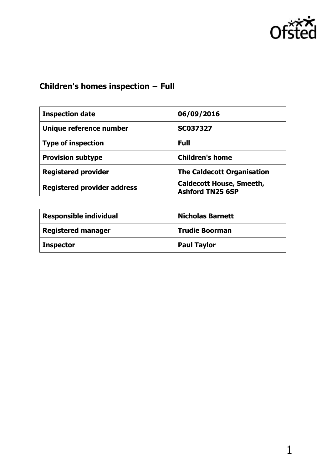

# **Children's homes inspection − Full**

| <b>Inspection date</b>             | 06/09/2016                                                 |
|------------------------------------|------------------------------------------------------------|
| Unique reference number            | <b>SC037327</b>                                            |
| <b>Type of inspection</b>          | <b>Full</b>                                                |
| <b>Provision subtype</b>           | <b>Children's home</b>                                     |
| <b>Registered provider</b>         | <b>The Caldecott Organisation</b>                          |
| <b>Registered provider address</b> | <b>Caldecott House, Smeeth,</b><br><b>Ashford TN25 6SP</b> |

| <b>Responsible individual</b> | <b>Nicholas Barnett</b> |
|-------------------------------|-------------------------|
| <b>Registered manager</b>     | <b>Trudie Boorman</b>   |
| <b>Inspector</b>              | <b>Paul Taylor</b>      |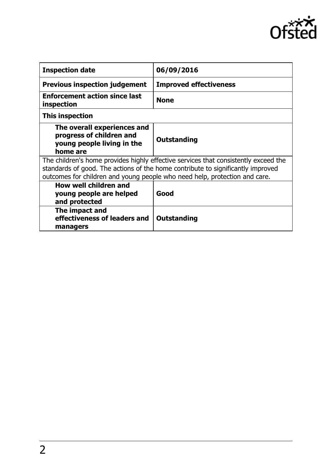

| <b>Inspection date</b>                                                                                                                                                                                                                               | 06/09/2016                    |
|------------------------------------------------------------------------------------------------------------------------------------------------------------------------------------------------------------------------------------------------------|-------------------------------|
| <b>Previous inspection judgement</b>                                                                                                                                                                                                                 | <b>Improved effectiveness</b> |
| <b>Enforcement action since last</b><br>inspection                                                                                                                                                                                                   | <b>None</b>                   |
| <b>This inspection</b>                                                                                                                                                                                                                               |                               |
| The overall experiences and<br>progress of children and<br>young people living in the<br>home are                                                                                                                                                    | Outstanding                   |
| The children's home provides highly effective services that consistently exceed the<br>standards of good. The actions of the home contribute to significantly improved<br>outcomes for children and young people who need help, protection and care. |                               |
| How well children and<br>young people are helped<br>and protected                                                                                                                                                                                    | Good                          |
| The impact and<br>effectiveness of leaders and<br>managers                                                                                                                                                                                           | Outstanding                   |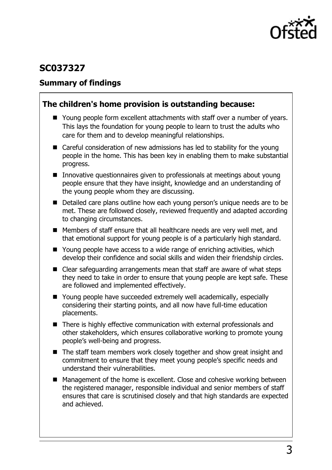

# **SC037327**

### **Summary of findings**

### **The children's home provision is outstanding because:**

- Young people form excellent attachments with staff over a number of years. This lays the foundation for young people to learn to trust the adults who care for them and to develop meaningful relationships.
- Careful consideration of new admissions has led to stability for the young people in the home. This has been key in enabling them to make substantial progress.
- Innovative questionnaires given to professionals at meetings about young people ensure that they have insight, knowledge and an understanding of the young people whom they are discussing.
- Detailed care plans outline how each young person's unique needs are to be met. These are followed closely, reviewed frequently and adapted according to changing circumstances.
- Members of staff ensure that all healthcare needs are very well met, and that emotional support for young people is of a particularly high standard.
- Young people have access to a wide range of enriching activities, which develop their confidence and social skills and widen their friendship circles.
- Clear safeguarding arrangements mean that staff are aware of what steps they need to take in order to ensure that young people are kept safe. These are followed and implemented effectively.
- Young people have succeeded extremely well academically, especially considering their starting points, and all now have full-time education placements.
- There is highly effective communication with external professionals and other stakeholders, which ensures collaborative working to promote young people's well-being and progress.
- The staff team members work closely together and show great insight and commitment to ensure that they meet young people's specific needs and understand their vulnerabilities.
- Management of the home is excellent. Close and cohesive working between the registered manager, responsible individual and senior members of staff ensures that care is scrutinised closely and that high standards are expected and achieved.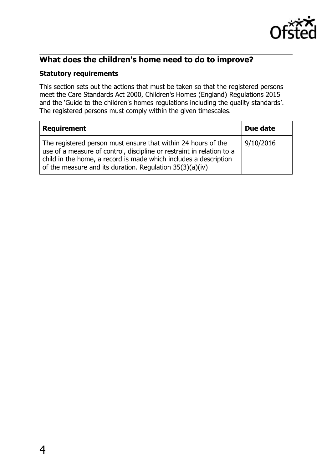

# **What does the children's home need to do to improve?**

#### **Statutory requirements**

This section sets out the actions that must be taken so that the registered persons meet the Care Standards Act 2000, Children's Homes (England) Regulations 2015 and the 'Guide to the children's homes regulations including the quality standards'. The registered persons must comply within the given timescales.

| <b>Requirement</b>                                                                                                                                                                                                                                                       | Due date  |
|--------------------------------------------------------------------------------------------------------------------------------------------------------------------------------------------------------------------------------------------------------------------------|-----------|
| The registered person must ensure that within 24 hours of the<br>use of a measure of control, discipline or restraint in relation to a<br>child in the home, a record is made which includes a description<br>of the measure and its duration. Regulation $35(3)(a)(iv)$ | 9/10/2016 |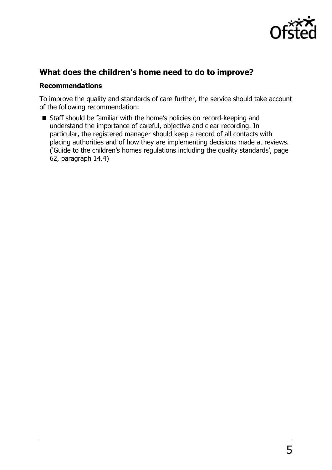

### **What does the children's home need to do to improve?**

#### **Recommendations**

To improve the quality and standards of care further, the service should take account of the following recommendation:

■ Staff should be familiar with the home's policies on record-keeping and understand the importance of careful, objective and clear recording. In particular, the registered manager should keep a record of all contacts with placing authorities and of how they are implementing decisions made at reviews. ('Guide to the children's homes regulations including the quality standards', page 62, paragraph 14.4)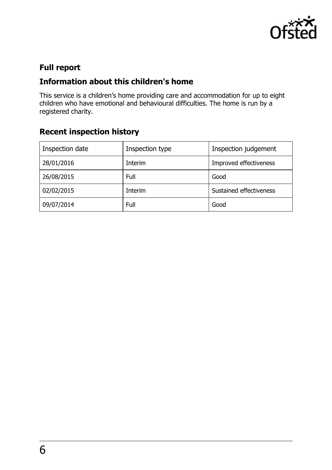

# **Full report**

# **Information about this children's home**

This service is a children's home providing care and accommodation for up to eight children who have emotional and behavioural difficulties. The home is run by a registered charity.

# **Recent inspection history**

| Inspection date | Inspection type | Inspection judgement    |
|-----------------|-----------------|-------------------------|
| 28/01/2016      | Interim         | Improved effectiveness  |
| 26/08/2015      | Full            | Good                    |
| 02/02/2015      | Interim         | Sustained effectiveness |
| 09/07/2014      | Full            | Good                    |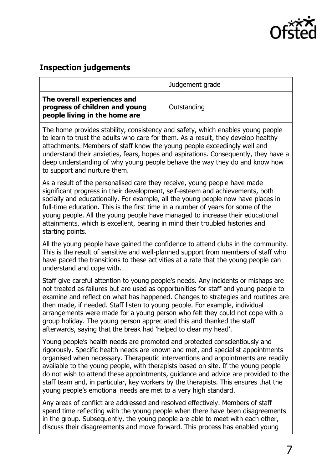

### **Inspection judgements**

|                                                                                                | Judgement grade |
|------------------------------------------------------------------------------------------------|-----------------|
| The overall experiences and<br>progress of children and young<br>people living in the home are | Outstanding     |

The home provides stability, consistency and safety, which enables young people to learn to trust the adults who care for them. As a result, they develop healthy attachments. Members of staff know the young people exceedingly well and understand their anxieties, fears, hopes and aspirations. Consequently, they have a deep understanding of why young people behave the way they do and know how to support and nurture them.

As a result of the personalised care they receive, young people have made significant progress in their development, self-esteem and achievements, both socially and educationally. For example, all the young people now have places in full-time education. This is the first time in a number of years for some of the young people. All the young people have managed to increase their educational attainments, which is excellent, bearing in mind their troubled histories and starting points.

All the young people have gained the confidence to attend clubs in the community. This is the result of sensitive and well-planned support from members of staff who have paced the transitions to these activities at a rate that the young people can understand and cope with.

Staff give careful attention to young people's needs. Any incidents or mishaps are not treated as failures but are used as opportunities for staff and young people to examine and reflect on what has happened. Changes to strategies and routines are then made, if needed. Staff listen to young people. For example, individual arrangements were made for a young person who felt they could not cope with a group holiday. The young person appreciated this and thanked the staff afterwards, saying that the break had 'helped to clear my head'.

Young people's health needs are promoted and protected conscientiously and rigorously. Specific health needs are known and met, and specialist appointments organised when necessary. Therapeutic interventions and appointments are readily available to the young people, with therapists based on site. If the young people do not wish to attend these appointments, guidance and advice are provided to the staff team and, in particular, key workers by the therapists. This ensures that the young people's emotional needs are met to a very high standard.

Any areas of conflict are addressed and resolved effectively. Members of staff spend time reflecting with the young people when there have been disagreements in the group. Subsequently, the young people are able to meet with each other, discuss their disagreements and move forward. This process has enabled young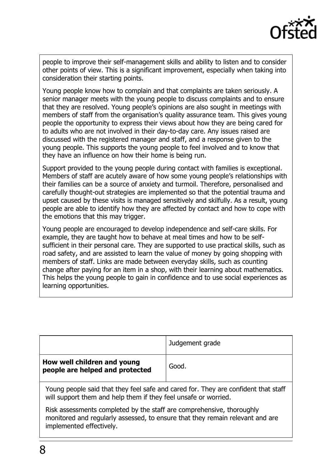

people to improve their self-management skills and ability to listen and to consider other points of view. This is a significant improvement, especially when taking into consideration their starting points.

Young people know how to complain and that complaints are taken seriously. A senior manager meets with the young people to discuss complaints and to ensure that they are resolved. Young people's opinions are also sought in meetings with members of staff from the organisation's quality assurance team. This gives young people the opportunity to express their views about how they are being cared for to adults who are not involved in their day-to-day care. Any issues raised are discussed with the registered manager and staff, and a response given to the young people. This supports the young people to feel involved and to know that they have an influence on how their home is being run.

Support provided to the young people during contact with families is exceptional. Members of staff are acutely aware of how some young people's relationships with their families can be a source of anxiety and turmoil. Therefore, personalised and carefully thought-out strategies are implemented so that the potential trauma and upset caused by these visits is managed sensitively and skilfully. As a result, young people are able to identify how they are affected by contact and how to cope with the emotions that this may trigger.

Young people are encouraged to develop independence and self-care skills. For example, they are taught how to behave at meal times and how to be selfsufficient in their personal care. They are supported to use practical skills, such as road safety, and are assisted to learn the value of money by going shopping with members of staff. Links are made between everyday skills, such as counting change after paying for an item in a shop, with their learning about mathematics. This helps the young people to gain in confidence and to use social experiences as learning opportunities.

|                                                                | Judgement grade |
|----------------------------------------------------------------|-----------------|
| How well children and young<br>people are helped and protected | Good.           |

Young people said that they feel safe and cared for. They are confident that staff will support them and help them if they feel unsafe or worried.

Risk assessments completed by the staff are comprehensive, thoroughly monitored and regularly assessed, to ensure that they remain relevant and are implemented effectively.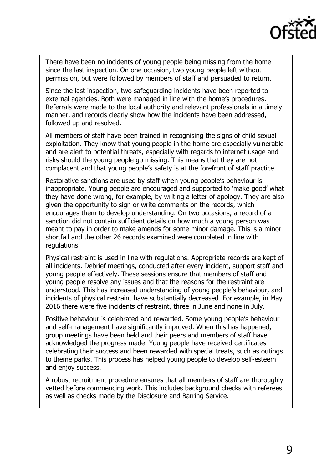

There have been no incidents of young people being missing from the home since the last inspection. On one occasion, two young people left without permission, but were followed by members of staff and persuaded to return.

Since the last inspection, two safeguarding incidents have been reported to external agencies. Both were managed in line with the home's procedures. Referrals were made to the local authority and relevant professionals in a timely manner, and records clearly show how the incidents have been addressed, followed up and resolved.

All members of staff have been trained in recognising the signs of child sexual exploitation. They know that young people in the home are especially vulnerable and are alert to potential threats, especially with regards to internet usage and risks should the young people go missing. This means that they are not complacent and that young people's safety is at the forefront of staff practice.

Restorative sanctions are used by staff when young people's behaviour is inappropriate. Young people are encouraged and supported to 'make good' what they have done wrong, for example, by writing a letter of apology. They are also given the opportunity to sign or write comments on the records, which encourages them to develop understanding. On two occasions, a record of a sanction did not contain sufficient details on how much a young person was meant to pay in order to make amends for some minor damage. This is a minor shortfall and the other 26 records examined were completed in line with regulations.

Physical restraint is used in line with regulations. Appropriate records are kept of all incidents. Debrief meetings, conducted after every incident, support staff and young people effectively. These sessions ensure that members of staff and young people resolve any issues and that the reasons for the restraint are understood. This has increased understanding of young people's behaviour, and incidents of physical restraint have substantially decreased. For example, in May 2016 there were five incidents of restraint, three in June and none in July.

Positive behaviour is celebrated and rewarded. Some young people's behaviour and self-management have significantly improved. When this has happened, group meetings have been held and their peers and members of staff have acknowledged the progress made. Young people have received certificates celebrating their success and been rewarded with special treats, such as outings to theme parks. This process has helped young people to develop self-esteem and enjoy success.

A robust recruitment procedure ensures that all members of staff are thoroughly vetted before commencing work. This includes background checks with referees as well as checks made by the Disclosure and Barring Service.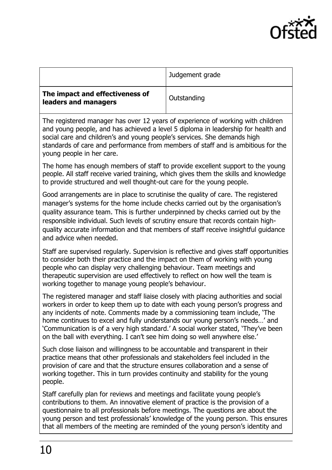

|                                                                                                                                                                                                   | Judgement grade |
|---------------------------------------------------------------------------------------------------------------------------------------------------------------------------------------------------|-----------------|
| The impact and effectiveness of<br>leaders and managers                                                                                                                                           | Outstanding     |
| The registered manager has over 12 years of experience of working with children<br>المستحيلها والمساري وبالمستوات والمتاري ومستوا والمساري المستحيل والمستحيل المستحدث والسوادين والسيادين المستح |                 |

and young people, and has achieved a level 5 diploma in leadership for health and social care and children's and young people's services. She demands high standards of care and performance from members of staff and is ambitious for the young people in her care.

The home has enough members of staff to provide excellent support to the young people. All staff receive varied training, which gives them the skills and knowledge to provide structured and well thought-out care for the young people.

Good arrangements are in place to scrutinise the quality of care. The registered manager's systems for the home include checks carried out by the organisation's quality assurance team. This is further underpinned by checks carried out by the responsible individual. Such levels of scrutiny ensure that records contain highquality accurate information and that members of staff receive insightful guidance and advice when needed.

Staff are supervised regularly. Supervision is reflective and gives staff opportunities to consider both their practice and the impact on them of working with young people who can display very challenging behaviour. Team meetings and therapeutic supervision are used effectively to reflect on how well the team is working together to manage young people's behaviour.

The registered manager and staff liaise closely with placing authorities and social workers in order to keep them up to date with each young person's progress and any incidents of note. Comments made by a commissioning team include, 'The home continues to excel and fully understands our young person's needs…' and 'Communication is of a very high standard.' A social worker stated, 'They've been on the ball with everything. I can't see him doing so well anywhere else.'

Such close liaison and willingness to be accountable and transparent in their practice means that other professionals and stakeholders feel included in the provision of care and that the structure ensures collaboration and a sense of working together. This in turn provides continuity and stability for the young people.

Staff carefully plan for reviews and meetings and facilitate young people's contributions to them. An innovative element of practice is the provision of a questionnaire to all professionals before meetings. The questions are about the young person and test professionals' knowledge of the young person. This ensures that all members of the meeting are reminded of the young person's identity and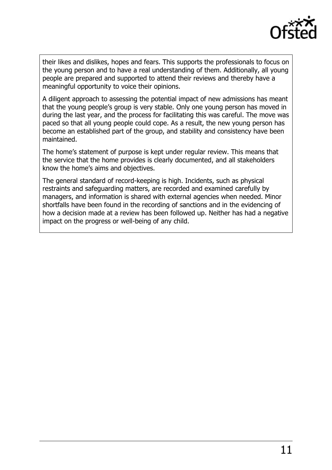

their likes and dislikes, hopes and fears. This supports the professionals to focus on the young person and to have a real understanding of them. Additionally, all young people are prepared and supported to attend their reviews and thereby have a meaningful opportunity to voice their opinions.

A diligent approach to assessing the potential impact of new admissions has meant that the young people's group is very stable. Only one young person has moved in during the last year, and the process for facilitating this was careful. The move was paced so that all young people could cope. As a result, the new young person has become an established part of the group, and stability and consistency have been maintained.

The home's statement of purpose is kept under regular review. This means that the service that the home provides is clearly documented, and all stakeholders know the home's aims and objectives.

The general standard of record-keeping is high. Incidents, such as physical restraints and safeguarding matters, are recorded and examined carefully by managers, and information is shared with external agencies when needed. Minor shortfalls have been found in the recording of sanctions and in the evidencing of how a decision made at a review has been followed up. Neither has had a negative impact on the progress or well-being of any child.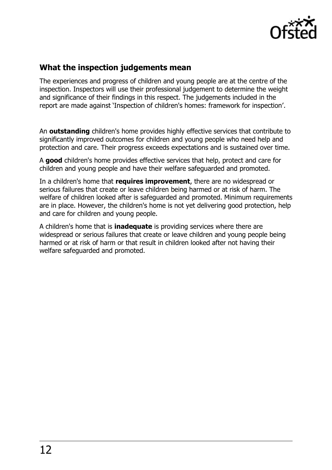

# **What the inspection judgements mean**

The experiences and progress of children and young people are at the centre of the inspection. Inspectors will use their professional judgement to determine the weight and significance of their findings in this respect. The judgements included in the report are made against 'Inspection of children's homes: framework for inspection'.

An **outstanding** children's home provides highly effective services that contribute to significantly improved outcomes for children and young people who need help and protection and care. Their progress exceeds expectations and is sustained over time.

A **good** children's home provides effective services that help, protect and care for children and young people and have their welfare safeguarded and promoted.

In a children's home that **requires improvement**, there are no widespread or serious failures that create or leave children being harmed or at risk of harm. The welfare of children looked after is safeguarded and promoted. Minimum requirements are in place. However, the children's home is not yet delivering good protection, help and care for children and young people.

A children's home that is **inadequate** is providing services where there are widespread or serious failures that create or leave children and young people being harmed or at risk of harm or that result in children looked after not having their welfare safeguarded and promoted.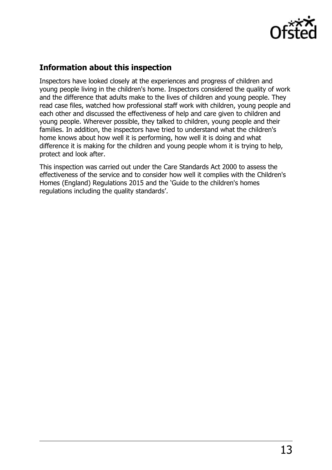

# **Information about this inspection**

Inspectors have looked closely at the experiences and progress of children and young people living in the children's home. Inspectors considered the quality of work and the difference that adults make to the lives of children and young people. They read case files, watched how professional staff work with children, young people and each other and discussed the effectiveness of help and care given to children and young people. Wherever possible, they talked to children, young people and their families. In addition, the inspectors have tried to understand what the children's home knows about how well it is performing, how well it is doing and what difference it is making for the children and young people whom it is trying to help, protect and look after.

This inspection was carried out under the Care Standards Act 2000 to assess the effectiveness of the service and to consider how well it complies with the Children's Homes (England) Regulations 2015 and the 'Guide to the children's homes regulations including the quality standards'.